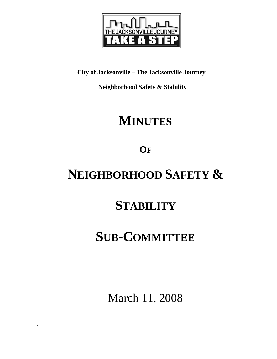

**City of Jacksonville – The Jacksonville Journey** 

 **Neighborhood Safety & Stability** 

# **MINUTES**

**OF**

# **NEIGHBORHOOD SAFETY &**

## **STABILITY**

# **SUB-COMMITTEE**

March 11, 2008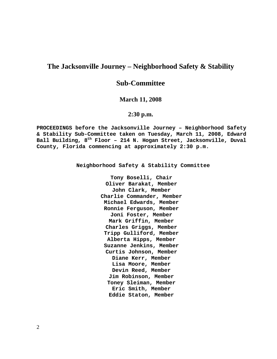## **The Jacksonville Journey – Neighborhood Safety & Stability**

## **Sub-Committee**

### **March 11, 2008**

### **2:30 p.m.**

**PROCEEDINGS before the Jacksonville Journey – Neighborhood Safety & Stability Sub-Committee taken on Tuesday, March 11, 2008, Edward Ball Building, 8th Floor – 214 N. Hogan Street, Jacksonville, Duval County, Florida commencing at approximately 2:30 p.m.** 

**Neighborhood Safety & Stability Committee** 

**Tony Boselli, Chair Oliver Barakat, Member John Clark, Member Charlie Commander, Member Michael Edwards, Member Ronnie Ferguson, Member Joni Foster, Member Mark Griffin, Member Charles Griggs, Member Tripp Gulliford, Member Alberta Hipps, Member Suzanne Jenkins, Member Curtis Johnson, Member Diane Kerr, Member Lisa Moore, Member Devin Reed, Member Jim Robinson, Member Toney Sleiman, Member Eric Smith, Member Eddie Staton, Member**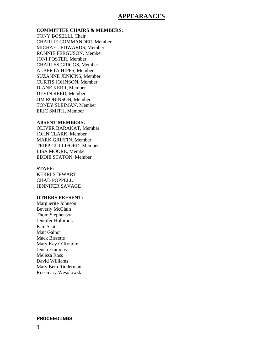### **APPEARANCES**

#### **COMMITTEE CHAIRS & MEMBERS:**

TONY BOSELLI, Chair CHARLIE COMMANDER, Member MICHAEL EDWARDS, Member RONNIE FERGUSON, Member JONI FOSTER, Member CHARLES GRIGGS, Member ALBERTA HIPPS, Member SUZANNE JENKINS, Member CURTIS JOHNSON, Member DIANE KERR, Member DEVIN REED, Member JIM ROBINSON, Member TONEY SLEIMAN, Member ERIC SMITH, Member

#### **ABSENT MEMBERS:**

OLIVER BARAKAT, Member JOHN CLARK, Member MARK GRIFFIN, Member TRIPP GULLIFORD, Member LISA MOORE, Member EDDIE STATON, Member

#### **STAFF:**

KERRI STEWART CHAD POPPELL JENNIFER SAVAGE

### **OTHERS PRESENT:**

Marguerite Johnson Beverly McClain Thom Stephenson Jennifer Holbrook Kim Scott Matt Galnor Mack Bissette Mary Kay O'Rourke Jenna Emmons Melissa Ross David Williams Mary Beth Ridderman Rosemary Wesolowski

#### **PROCEEDINGS**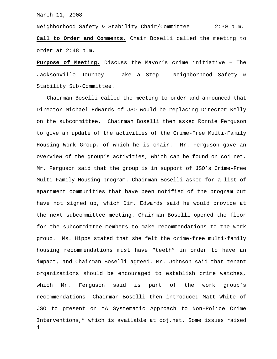Neighborhood Safety & Stability Chair/Committee 2:30 p.m. **Call to Order and Comments.** Chair Boselli called the meeting to order at 2:48 p.m.

**Purpose of Meeting.** Discuss the Mayor's crime initiative – The Jacksonville Journey – Take a Step – Neighborhood Safety & Stability Sub-Committee.

4 Chairman Boselli called the meeting to order and announced that Director Michael Edwards of JSO would be replacing Director Kelly on the subcommittee. Chairman Boselli then asked Ronnie Ferguson to give an update of the activities of the Crime-Free Multi-Family Housing Work Group, of which he is chair. Mr. Ferguson gave an overview of the group's activities, which can be found on coj.net. Mr. Ferguson said that the group is in support of JSO's Crime-Free Multi-Family Housing program. Chairman Boselli asked for a list of apartment communities that have been notified of the program but have not signed up, which Dir. Edwards said he would provide at the next subcommittee meeting. Chairman Boselli opened the floor for the subcommittee members to make recommendations to the work group. Ms. Hipps stated that she felt the crime-free multi-family housing recommendations must have "teeth" in order to have an impact, and Chairman Boselli agreed. Mr. Johnson said that tenant organizations should be encouraged to establish crime watches, which Mr. Ferguson said is part of the work group's recommendations. Chairman Boselli then introduced Matt White of JSO to present on "A Systematic Approach to Non-Police Crime Interventions," which is available at coj.net. Some issues raised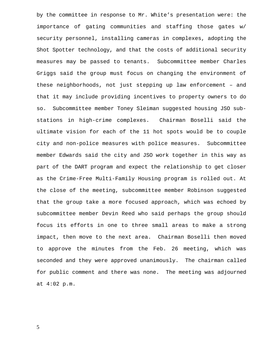by the committee in response to Mr. White's presentation were: the importance of gating communities and staffing those gates w/ security personnel, installing cameras in complexes, adopting the Shot Spotter technology, and that the costs of additional security measures may be passed to tenants. Subcommittee member Charles Griggs said the group must focus on changing the environment of these neighborhoods, not just stepping up law enforcement – and that it may include providing incentives to property owners to do so. Subcommittee member Toney Sleiman suggested housing JSO substations in high-crime complexes. Chairman Boselli said the ultimate vision for each of the 11 hot spots would be to couple city and non-police measures with police measures. Subcommittee member Edwards said the city and JSO work together in this way as part of the DART program and expect the relationship to get closer as the Crime-Free Multi-Family Housing program is rolled out. At the close of the meeting, subcommittee member Robinson suggested that the group take a more focused approach, which was echoed by subcommittee member Devin Reed who said perhaps the group should focus its efforts in one to three small areas to make a strong impact, then move to the next area. Chairman Boselli then moved to approve the minutes from the Feb. 26 meeting, which was seconded and they were approved unanimously. The chairman called for public comment and there was none. The meeting was adjourned at 4:02 p.m.

5